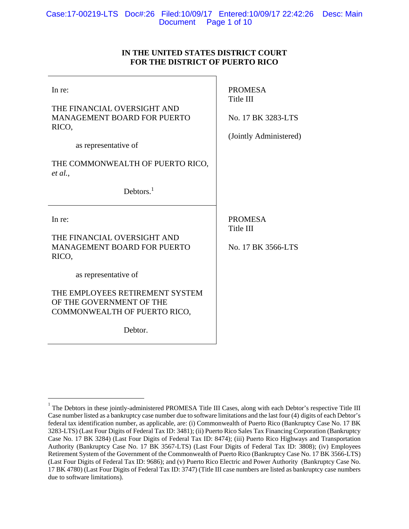# **IN THE UNITED STATES DISTRICT COURT FOR THE DISTRICT OF PUERTO RICO**

| In re:<br>THE FINANCIAL OVERSIGHT AND<br><b>MANAGEMENT BOARD FOR PUERTO</b><br>RICO,<br>as representative of<br>THE COMMONWEALTH OF PUERTO RICO,<br>et al.,<br>Debtors. $1$                                            | <b>PROMESA</b><br>Title III<br>No. 17 BK 3283-LTS<br>(Jointly Administered) |
|------------------------------------------------------------------------------------------------------------------------------------------------------------------------------------------------------------------------|-----------------------------------------------------------------------------|
| In re:<br>THE FINANCIAL OVERSIGHT AND<br><b>MANAGEMENT BOARD FOR PUERTO</b><br>RICO,<br>as representative of<br>THE EMPLOYEES RETIREMENT SYSTEM<br>OF THE GOVERNMENT OF THE<br>COMMONWEALTH OF PUERTO RICO,<br>Debtor. | <b>PROMESA</b><br>Title III<br>No. 17 BK 3566-LTS                           |

 $\overline{a}$ 

<sup>1</sup> The Debtors in these jointly-administered PROMESA Title III Cases, along with each Debtor's respective Title III Case number listed as a bankruptcy case number due to software limitations and the last four (4) digits of each Debtor's federal tax identification number, as applicable, are: (i) Commonwealth of Puerto Rico (Bankruptcy Case No. 17 BK 3283-LTS) (Last Four Digits of Federal Tax ID: 3481); (ii) Puerto Rico Sales Tax Financing Corporation (Bankruptcy Case No. 17 BK 3284) (Last Four Digits of Federal Tax ID: 8474); (iii) Puerto Rico Highways and Transportation Authority (Bankruptcy Case No. 17 BK 3567-LTS) (Last Four Digits of Federal Tax ID: 3808); (iv) Employees Retirement System of the Government of the Commonwealth of Puerto Rico (Bankruptcy Case No. 17 BK 3566-LTS) (Last Four Digits of Federal Tax ID: 9686); and (v) Puerto Rico Electric and Power Authority (Bankruptcy Case No. 17 BK 4780) (Last Four Digits of Federal Tax ID: 3747) (Title III case numbers are listed as bankruptcy case numbers due to software limitations).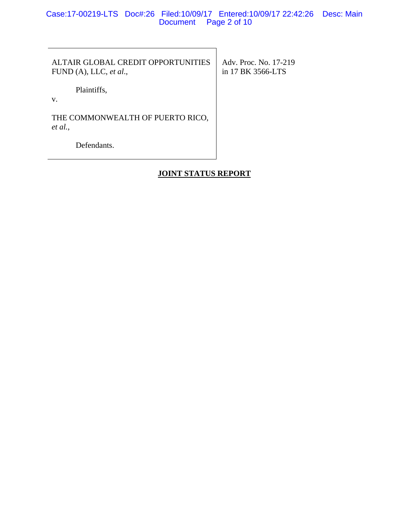Case:17-00219-LTS Doc#:26 Filed:10/09/17 Entered:10/09/17 22:42:26 Desc: Main Document Page 2 of 10

ALTAIR GLOBAL CREDIT OPPORTUNITIES FUND (A), LLC, *et al*.,

 Adv. Proc. No. 17-219 in 17 BK 3566-LTS

Plaintiffs,

v.

THE COMMONWEALTH OF PUERTO RICO, *et al.*,

Defendants.

# **JOINT STATUS REPORT**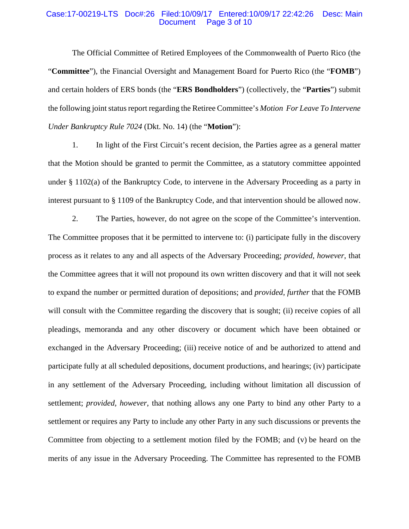#### Case:17-00219-LTS Doc#:26 Filed:10/09/17 Entered:10/09/17 22:42:26 Desc: Main Document Page 3 of 10

The Official Committee of Retired Employees of the Commonwealth of Puerto Rico (the "**Committee**"), the Financial Oversight and Management Board for Puerto Rico (the "**FOMB**") and certain holders of ERS bonds (the "**ERS Bondholders**") (collectively, the "**Parties**") submit the following joint status report regarding the Retiree Committee's *Motion For Leave To Intervene Under Bankruptcy Rule 7024* (Dkt. No. 14) (the "**Motion**"):

1. In light of the First Circuit's recent decision, the Parties agree as a general matter that the Motion should be granted to permit the Committee, as a statutory committee appointed under § 1102(a) of the Bankruptcy Code, to intervene in the Adversary Proceeding as a party in interest pursuant to § 1109 of the Bankruptcy Code, and that intervention should be allowed now.

2. The Parties, however, do not agree on the scope of the Committee's intervention. The Committee proposes that it be permitted to intervene to: (i) participate fully in the discovery process as it relates to any and all aspects of the Adversary Proceeding; *provided, however*, that the Committee agrees that it will not propound its own written discovery and that it will not seek to expand the number or permitted duration of depositions; and *provided, further* that the FOMB will consult with the Committee regarding the discovery that is sought; (ii) receive copies of all pleadings, memoranda and any other discovery or document which have been obtained or exchanged in the Adversary Proceeding; (iii) receive notice of and be authorized to attend and participate fully at all scheduled depositions, document productions, and hearings; (iv) participate in any settlement of the Adversary Proceeding, including without limitation all discussion of settlement; *provided, however*, that nothing allows any one Party to bind any other Party to a settlement or requires any Party to include any other Party in any such discussions or prevents the Committee from objecting to a settlement motion filed by the FOMB; and (v) be heard on the merits of any issue in the Adversary Proceeding. The Committee has represented to the FOMB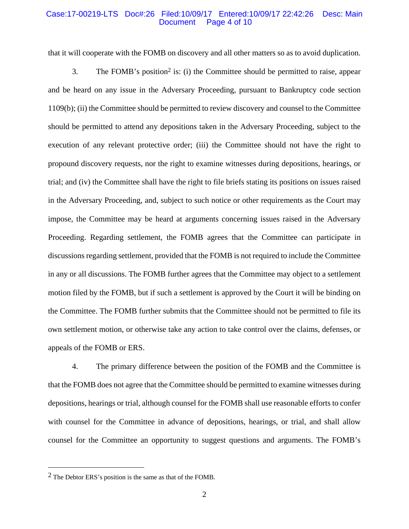#### Case:17-00219-LTS Doc#:26 Filed:10/09/17 Entered:10/09/17 22:42:26 Desc: Main Page 4 of 10

that it will cooperate with the FOMB on discovery and all other matters so as to avoid duplication.

3. The FOMB's position2 is: (i) the Committee should be permitted to raise, appear and be heard on any issue in the Adversary Proceeding, pursuant to Bankruptcy code section 1109(b); (ii) the Committee should be permitted to review discovery and counsel to the Committee should be permitted to attend any depositions taken in the Adversary Proceeding, subject to the execution of any relevant protective order; (iii) the Committee should not have the right to propound discovery requests, nor the right to examine witnesses during depositions, hearings, or trial; and (iv) the Committee shall have the right to file briefs stating its positions on issues raised in the Adversary Proceeding, and, subject to such notice or other requirements as the Court may impose, the Committee may be heard at arguments concerning issues raised in the Adversary Proceeding. Regarding settlement, the FOMB agrees that the Committee can participate in discussions regarding settlement, provided that the FOMB is not required to include the Committee in any or all discussions. The FOMB further agrees that the Committee may object to a settlement motion filed by the FOMB, but if such a settlement is approved by the Court it will be binding on the Committee. The FOMB further submits that the Committee should not be permitted to file its own settlement motion, or otherwise take any action to take control over the claims, defenses, or appeals of the FOMB or ERS.

4. The primary difference between the position of the FOMB and the Committee is that the FOMB does not agree that the Committee should be permitted to examine witnesses during depositions, hearings or trial, although counsel for the FOMB shall use reasonable efforts to confer with counsel for the Committee in advance of depositions, hearings, or trial, and shall allow counsel for the Committee an opportunity to suggest questions and arguments. The FOMB's

 $\overline{a}$ 

<sup>2</sup> The Debtor ERS's position is the same as that of the FOMB.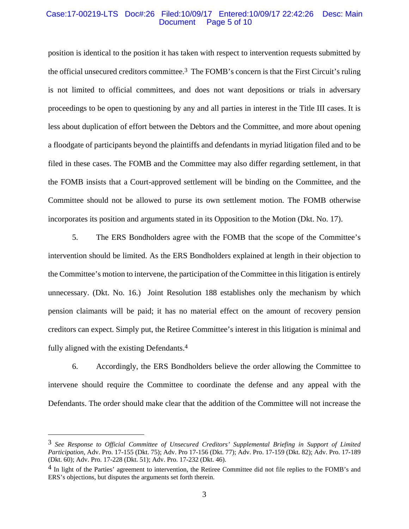### Case:17-00219-LTS Doc#:26 Filed:10/09/17 Entered:10/09/17 22:42:26 Desc: Main Page 5 of 10

position is identical to the position it has taken with respect to intervention requests submitted by the official unsecured creditors committee.3 The FOMB's concern is that the First Circuit's ruling is not limited to official committees, and does not want depositions or trials in adversary proceedings to be open to questioning by any and all parties in interest in the Title III cases. It is less about duplication of effort between the Debtors and the Committee, and more about opening a floodgate of participants beyond the plaintiffs and defendants in myriad litigation filed and to be filed in these cases. The FOMB and the Committee may also differ regarding settlement, in that the FOMB insists that a Court-approved settlement will be binding on the Committee, and the Committee should not be allowed to purse its own settlement motion. The FOMB otherwise incorporates its position and arguments stated in its Opposition to the Motion (Dkt. No. 17).

5. The ERS Bondholders agree with the FOMB that the scope of the Committee's intervention should be limited. As the ERS Bondholders explained at length in their objection to the Committee's motion to intervene, the participation of the Committee in this litigation is entirely unnecessary. (Dkt. No. 16.) Joint Resolution 188 establishes only the mechanism by which pension claimants will be paid; it has no material effect on the amount of recovery pension creditors can expect. Simply put, the Retiree Committee's interest in this litigation is minimal and fully aligned with the existing Defendants.4

6. Accordingly, the ERS Bondholders believe the order allowing the Committee to intervene should require the Committee to coordinate the defense and any appeal with the Defendants. The order should make clear that the addition of the Committee will not increase the

 $\overline{a}$ 

<sup>3</sup> *See Response to Official Committee of Unsecured Creditors' Supplemental Briefing in Support of Limited Participation*, Adv. Pro. 17-155 (Dkt. 75); Adv. Pro 17-156 (Dkt. 77); Adv. Pro. 17-159 (Dkt. 82); Adv. Pro. 17-189 (Dkt. 60); Adv. Pro. 17-228 (Dkt. 51); Adv. Pro. 17-232 (Dkt. 46).

<sup>&</sup>lt;sup>4</sup> In light of the Parties' agreement to intervention, the Retiree Committee did not file replies to the FOMB's and ERS's objections, but disputes the arguments set forth therein.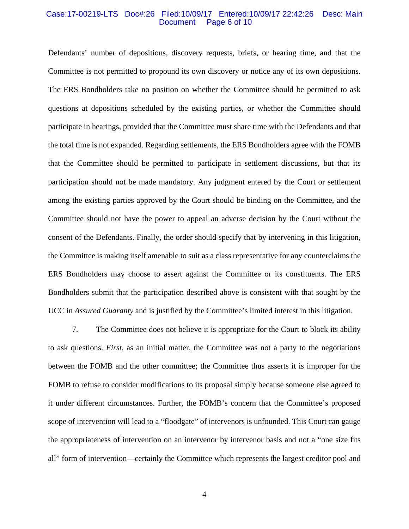#### Case:17-00219-LTS Doc#:26 Filed:10/09/17 Entered:10/09/17 22:42:26 Desc: Main Page 6 of 10

Defendants' number of depositions, discovery requests, briefs, or hearing time, and that the Committee is not permitted to propound its own discovery or notice any of its own depositions. The ERS Bondholders take no position on whether the Committee should be permitted to ask questions at depositions scheduled by the existing parties, or whether the Committee should participate in hearings, provided that the Committee must share time with the Defendants and that the total time is not expanded. Regarding settlements, the ERS Bondholders agree with the FOMB that the Committee should be permitted to participate in settlement discussions, but that its participation should not be made mandatory. Any judgment entered by the Court or settlement among the existing parties approved by the Court should be binding on the Committee, and the Committee should not have the power to appeal an adverse decision by the Court without the consent of the Defendants. Finally, the order should specify that by intervening in this litigation, the Committee is making itself amenable to suit as a class representative for any counterclaims the ERS Bondholders may choose to assert against the Committee or its constituents. The ERS Bondholders submit that the participation described above is consistent with that sought by the UCC in *Assured Guaranty* and is justified by the Committee's limited interest in this litigation.

7. The Committee does not believe it is appropriate for the Court to block its ability to ask questions. *First*, as an initial matter, the Committee was not a party to the negotiations between the FOMB and the other committee; the Committee thus asserts it is improper for the FOMB to refuse to consider modifications to its proposal simply because someone else agreed to it under different circumstances. Further, the FOMB's concern that the Committee's proposed scope of intervention will lead to a "floodgate" of intervenors is unfounded. This Court can gauge the appropriateness of intervention on an intervenor by intervenor basis and not a "one size fits all" form of intervention—certainly the Committee which represents the largest creditor pool and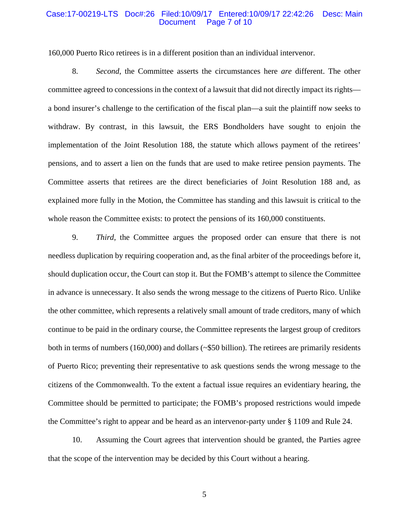#### Case:17-00219-LTS Doc#:26 Filed:10/09/17 Entered:10/09/17 22:42:26 Desc: Main Page 7 of 10

160,000 Puerto Rico retirees is in a different position than an individual intervenor.

8. *Second*, the Committee asserts the circumstances here *are* different. The other committee agreed to concessions in the context of a lawsuit that did not directly impact its rights a bond insurer's challenge to the certification of the fiscal plan—a suit the plaintiff now seeks to withdraw. By contrast, in this lawsuit, the ERS Bondholders have sought to enjoin the implementation of the Joint Resolution 188, the statute which allows payment of the retirees' pensions, and to assert a lien on the funds that are used to make retiree pension payments. The Committee asserts that retirees are the direct beneficiaries of Joint Resolution 188 and, as explained more fully in the Motion, the Committee has standing and this lawsuit is critical to the whole reason the Committee exists: to protect the pensions of its 160,000 constituents.

9. *Third*, the Committee argues the proposed order can ensure that there is not needless duplication by requiring cooperation and, as the final arbiter of the proceedings before it, should duplication occur, the Court can stop it. But the FOMB's attempt to silence the Committee in advance is unnecessary. It also sends the wrong message to the citizens of Puerto Rico. Unlike the other committee, which represents a relatively small amount of trade creditors, many of which continue to be paid in the ordinary course, the Committee represents the largest group of creditors both in terms of numbers (160,000) and dollars (~\$50 billion). The retirees are primarily residents of Puerto Rico; preventing their representative to ask questions sends the wrong message to the citizens of the Commonwealth. To the extent a factual issue requires an evidentiary hearing, the Committee should be permitted to participate; the FOMB's proposed restrictions would impede the Committee's right to appear and be heard as an intervenor-party under § 1109 and Rule 24.

10. Assuming the Court agrees that intervention should be granted, the Parties agree that the scope of the intervention may be decided by this Court without a hearing.

5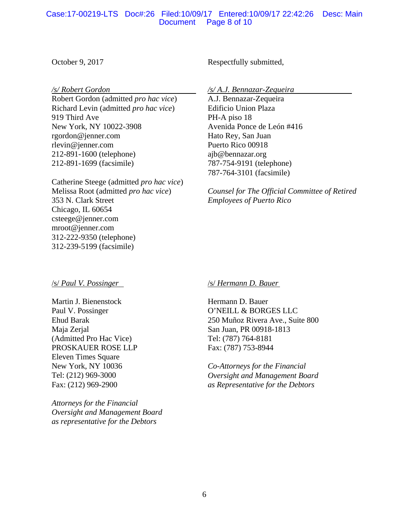# Case:17-00219-LTS Doc#:26 Filed:10/09/17 Entered:10/09/17 22:42:26 Desc: Main Document Page 8 of 10

October 9, 2017

*/s/ Robert Gordon* 

Robert Gordon (admitted *pro hac vice*) Richard Levin (admitted *pro hac vice*) 919 Third Ave New York, NY 10022-3908 rgordon@jenner.com rlevin@jenner.com 212-891-1600 (telephone) 212-891-1699 (facsimile)

Catherine Steege (admitted *pro hac vice*) Melissa Root (admitted *pro hac vice*) 353 N. Clark Street Chicago, IL 60654 csteege@jenner.com mroot@jenner.com 312-222-9350 (telephone) 312-239-5199 (facsimile)

Respectfully submitted,

*/s/ A.J. Bennazar-Zequeira* 

A.J. Bennazar-Zequeira Edificio Union Plaza PH-A piso 18 Avenida Ponce de León #416 Hato Rey, San Juan Puerto Rico 00918 ajb@bennazar.org 787-754-9191 (telephone) 787-764-3101 (facsimile)

*Counsel for The Official Committee of Retired Employees of Puerto Rico*

# /s/ *Paul V. Possinger*

Martin J. Bienenstock Paul V. Possinger Ehud Barak Maja Zerjal (Admitted Pro Hac Vice) PROSKAUER ROSE LLP Eleven Times Square New York, NY 10036 Tel: (212) 969-3000 Fax: (212) 969-2900

*Attorneys for the Financial Oversight and Management Board as representative for the Debtors*

# /s/ *Hermann D. Bauer*

Hermann D. Bauer O'NEILL & BORGES LLC 250 Muñoz Rivera Ave., Suite 800 San Juan, PR 00918-1813 Tel: (787) 764-8181 Fax: (787) 753-8944

*Co-Attorneys for the Financial Oversight and Management Board as Representative for the Debtors*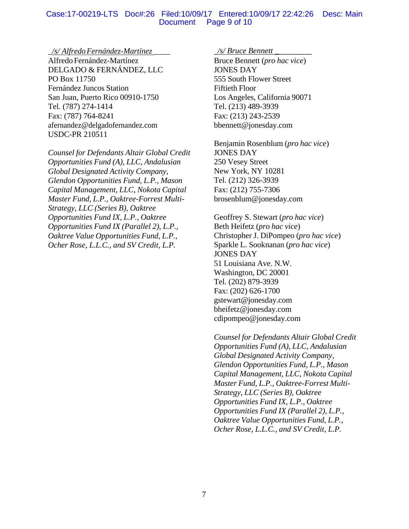# Case:17-00219-LTS Doc#:26 Filed:10/09/17 Entered:10/09/17 22:42:26 Desc: Main Document Page 9 of 10

### \_*/s/ Alfredo Fernández-Martínez* \_\_\_\_

Alfredo Fernández-Martínez DELGADO & FERNÁNDEZ, LLC PO Box 11750 Fernández Juncos Station San Juan, Puerto Rico 00910-1750 Tel. (787) 274-1414 Fax: (787) 764-8241 afernandez@delgadofernandez.com USDC-PR 210511

*Counsel for Defendants Altair Global Credit Opportunities Fund (A), LLC, Andalusian Global Designated Activity Company, Glendon Opportunities Fund, L.P., Mason Capital Management, LLC, Nokota Capital Master Fund, L.P., Oaktree-Forrest Multi-Strategy, LLC (Series B), Oaktree Opportunities Fund IX, L.P., Oaktree Opportunities Fund IX (Parallel 2), L.P., Oaktree Value Opportunities Fund, L.P., Ocher Rose, L.L.C., and SV Credit, L.P.*

## \_*/s/ Bruce Bennett \_*\_\_\_\_\_\_\_\_\_

Bruce Bennett (*pro hac vice*) JONES DAY 555 South Flower Street Fiftieth Floor Los Angeles, California 90071 Tel. (213) 489-3939 Fax: (213) 243-2539 bbennett@jonesday.com

Benjamin Rosenblum (*pro hac vice*) JONES DAY 250 Vesey Street New York, NY 10281 Tel. (212) 326-3939 Fax: (212) 755-7306 brosenblum@jonesday.com

Geoffrey S. Stewart (*pro hac vice*) Beth Heifetz (*pro hac vice*) Christopher J. DiPompeo (*pro hac vice*) Sparkle L. Sooknanan (*pro hac vice*) JONES DAY 51 Louisiana Ave. N.W. Washington, DC 20001 Tel. (202) 879-3939 Fax: (202) 626-1700 gstewart@jonesday.com bheifetz@jonesday.com cdipompeo@jonesday.com

*Counsel for Defendants Altair Global Credit Opportunities Fund (A), LLC, Andalusian Global Designated Activity Company, Glendon Opportunities Fund, L.P., Mason Capital Management, LLC, Nokota Capital Master Fund, L.P., Oaktree-Forrest Multi-Strategy, LLC (Series B), Oaktree Opportunities Fund IX, L.P., Oaktree Opportunities Fund IX (Parallel 2), L.P., Oaktree Value Opportunities Fund, L.P., Ocher Rose, L.L.C., and SV Credit, L.P.*